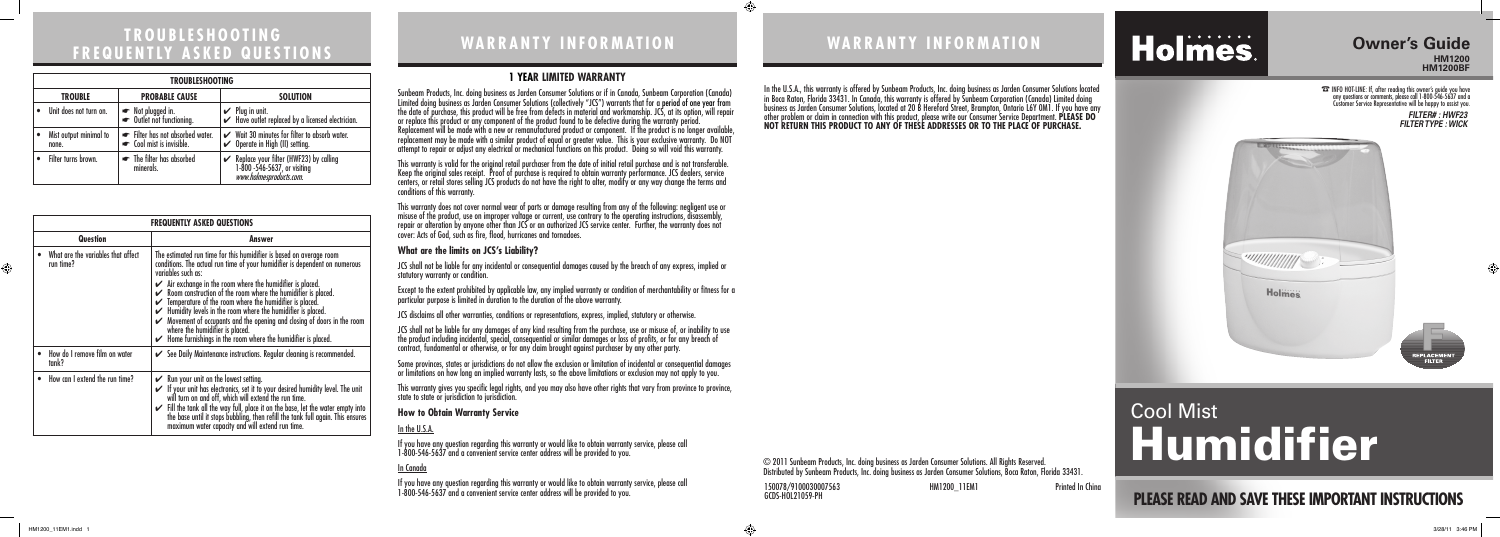## **WA R R A N T Y I N F O R M AT I O N tro u b l e s h ootin <sup>g</sup> fr e q u e nt ly <sup>a</sup> s k e d q u e s tion <sup>s</sup> WA R R A N T Y I N F O R M AT I O N**

© 2011 Sunbeam Products, Inc. doing business as Jarden Consumer Solutions. All Rights Reserved. Distributed by Sunbeam Products, Inc. doing business as Jarden Consumer Solutions, Boca Raton, Florida 33431.

In the U.S.A., this warranty is offered by Sunbeam Products, Inc. doing business as Jarden Consumer Solutions located in Boca Raton, Florida 33431. In Canada, this warranty is offered by Sunbeam Corporation (Canada) Limited doing business as Jarden Consumer Solutions, located at 20 B Hereford Street, Brampton, Ontario L6Y 0M1. If you have any other problem or claim in connection with this product, please write our Consumer Service Department. **PLEASE DO NOT RETURN THIS PRODUCT TO ANY OF THESE ADDRESSES OR TO THE PLACE OF PURCHASE.** 

# Holmes.

#### **1 Year Limited Warranty**

Sunbeam Products, Inc. doing business as Jarden Consumer Solutions or if in Canada, Sunbeam Corporation (Canada) Limited doing business as Jarden Consumer Solutions (collectively "JCS") warrants that for a period of one year from the date of purchase, this product will be free from defects in material and workmanship. JCS, at its option, will repair or replace this product or any component of the product found to be defective during the warranty period. Replacement will be made with a new or remanufactured product or component. If the product is no longer available, replacement may be made with a similar product of equal or greater value. This is your exclusive warranty. Do NOT attempt to repair or adjust any electrical or mechanical functions on this product. Doing so will void this warranty.

This warranty is valid for the original retail purchaser from the date of initial retail purchase and is not transferable. Keep the original sales receipt. Proof of purchase is required to obtain warranty performance. JCS dealers, service centers, or retail stores selling JCS products do not have the right to alter, modify or any way change the terms and conditions of this warranty.

This warranty does not cover normal wear of parts or damage resulting from any of the following: negligent use or misuse of the product, use on improper voltage or current, use contrary to the operating instructions, disassembly, repair or alteration by anyone other than JCS or an authorized JCS service center. Further, the warranty does not cover: Acts of God, such as fire, flood, hurricanes and tornadoes.

#### **What are the limits on JCS's Liability?**

JCS shall not be liable for any incidental or consequential damages caused by the breach of any express, implied or statutory warranty or condition.

Except to the extent prohibited by applicable law, any implied warranty or condition of merchantability or fitness for a particular purpose is limited in duration to the duration of the above warranty.

JCS disclaims all other warranties, conditions or representations, express, implied, statutory or otherwise.

JCS shall not be liable for any damages of any kind resulting from the purchase, use or misuse of, or inability to use the product including incidental, special, consequential or similar damages or loss of profits, or for any breach of contract, fundamental or otherwise, or for any claim brought against purchaser by any other party.

Some provinces, states or jurisdictions do not allow the exclusion or limitation of incidental or consequential damages or limitations on how long an implied warranty lasts, so the above limitations or exclusion may not apply to you.

This warranty gives you specific legal rights, and you may also have other rights that vary from province to province, state to state or jurisdiction to jurisdiction.

#### **How to Obtain Warranty Service**

#### In the U.S.A.

If you have any question regarding this warranty or would like to obtain warranty service, please call 1-800-546-5637 and a convenient service center address will be provided to you.

#### In Canada

If you have any question regarding this warranty or would like to obtain warranty service, please call 1-800-546-5637 and a convenient service center address will be provided to you.

| <b>FREQUENTLY ASKED QUESTIONS</b>               |                                                                                                                                                                                                                                                                                                                                                                                                                                                                                                                                                                                                                                                                             |  |
|-------------------------------------------------|-----------------------------------------------------------------------------------------------------------------------------------------------------------------------------------------------------------------------------------------------------------------------------------------------------------------------------------------------------------------------------------------------------------------------------------------------------------------------------------------------------------------------------------------------------------------------------------------------------------------------------------------------------------------------------|--|
| Question                                        | Answer                                                                                                                                                                                                                                                                                                                                                                                                                                                                                                                                                                                                                                                                      |  |
| What are the variables that affect<br>run time? | The estimated run time for this humidifier is based on average room<br>conditions. The actual run time of your humidifier is dependent on numerous<br>variables such as:<br>$\swarrow$ Air exchange in the room where the humidifier is placed.<br>$\mathcal V$ Room construction of the room where the humidifier is placed.<br>$\checkmark$ Temperature of the room where the humidifier is placed.<br>$\checkmark$ Humidity levels in the room where the humidifier is placed.<br>Movement of occupants and the opening and closing of doors in the room<br>where the humidifier is placed.<br>$\checkmark$ Home furnishings in the room where the humidifier is placed. |  |
| How do I remove film on water<br>tank?          | See Daily Maintenance instructions. Regular cleaning is recommended.                                                                                                                                                                                                                                                                                                                                                                                                                                                                                                                                                                                                        |  |
| How can I extend the run time?                  | $\mathcal V$ Run your unit on the lowest setting.<br>If your unit has electronics, set it to your desired humidity level. The unit<br>will turn on and off, which will extend the run time.<br>Fill the tank all the way full, place it on the base, let the water empty into<br>the base until it stops bubbling, then refill the tank full again. This ensures<br>maximum water capacity and will extend run time.                                                                                                                                                                                                                                                        |  |

| <b>TROUBLESHOOTING</b>          |                                                           |                                                                                                           |  |  |
|---------------------------------|-----------------------------------------------------------|-----------------------------------------------------------------------------------------------------------|--|--|
| <b>TROUBLE</b>                  | <b>PROBABLE CAUSE</b>                                     | <b>SOLUTION</b>                                                                                           |  |  |
| Unit does not turn on.          | ► Not plugged in.<br>► Outlet not functioning.            | $\mathcal V$ Plug in unit.<br>$\blacktriangleright$ Have outlet replaced by a licensed electrician.       |  |  |
| Mist output minimal to<br>none. | Filter has not absorbed water.<br>cool mist is invisible. | Wait 30 minutes for filter to absorb water.<br>$\checkmark$ Operate in High (II) setting.                 |  |  |
| Filter turns brown.             | • The filter has absorbed<br>minerals.                    | Replace your filter (HWF23) by calling<br>1-800 -546-5637, or visiting<br><i>www.holmesproducts.com</i> . |  |  |

#### **Owner's Guide HM1200 HM1200BF**

☎ INFO HOT-LINE: If, after reading this owner's guide you have any questions or comments, please call 1-800-546-5637 and a Customer Service Representative will be happy to assist you.

# Cool Mist Humidifier

*FILTER# : HWF23 FILTER TYPE : WICK*





## **PLEASE READ AND SAVE THESE IMPORTANT INSTRUCTIONS**

150078/9100030007563 HM1200\_11EM1 Printed In China GCDS-HOL21059-PH

 $\bigoplus$ 



⊕